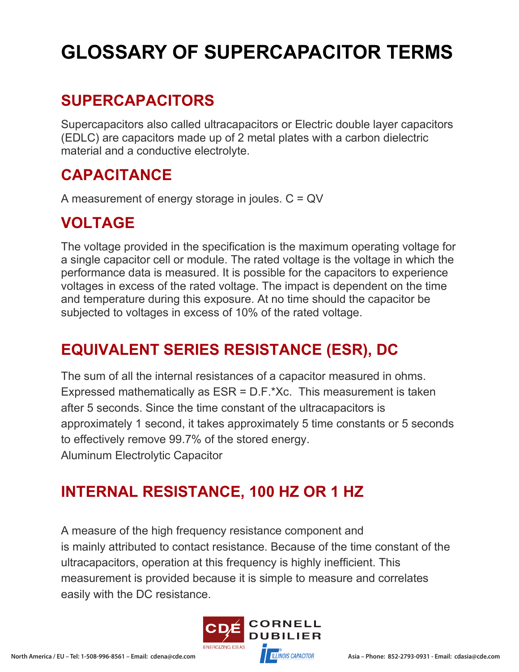# **GLOSSARY OF SUPERCAPACITOR TERMS**

## **SUPERCAPACITORS**

Supercapacitors also called ultracapacitors or Electric double layer capacitors (EDLC) are capacitors made up of 2 metal plates with a carbon dielectric material and a conductive electrolyte.

#### **CAPACITANCE**

A measurement of energy storage in joules. C = QV

## **VOLTAGE**

The voltage provided in the specification is the maximum operating voltage for a single capacitor cell or module. The rated voltage is the voltage in which the performance data is measured. It is possible for the capacitors to experience voltages in excess of the rated voltage. The impact is dependent on the time and temperature during this exposure. At no time should the capacitor be subjected to voltages in excess of 10% of the rated voltage.

## **EQUIVALENT SERIES RESISTANCE (ESR), DC**

The sum of all the internal resistances of a capacitor measured in ohms. Expressed mathematically as ESR = D.F.\*Xc. This measurement is taken after 5 seconds. Since the time constant of the ultracapacitors is approximately 1 second, it takes approximately 5 time constants or 5 seconds to effectively remove 99.7% of the stored energy. Aluminum Electrolytic Capacitor

# **INTERNAL RESISTANCE, 100 HZ OR 1 HZ**

A measure of the high frequency resistance component and is mainly attributed to contact resistance. Because of the time constant of the ultracapacitors, operation at this frequency is highly inefficient. This measurement is provided because it is simple to measure and correlates easily with the DC resistance.

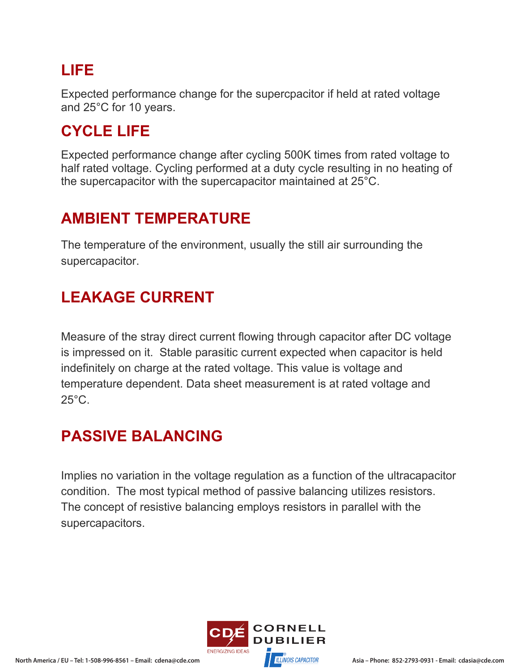#### **LIFE**

Expected performance change for the supercpacitor if held at rated voltage and 25°C for 10 years.

#### **CYCLE LIFE**

Expected performance change after cycling 500K times from rated voltage to half rated voltage. Cycling performed at a duty cycle resulting in no heating of the supercapacitor with the supercapacitor maintained at 25°C.

#### **AMBIENT TEMPERATURE**

The temperature of the environment, usually the still air surrounding the supercapacitor.

#### **LEAKAGE CURRENT**

Measure of the stray direct current flowing through capacitor after DC voltage is impressed on it. Stable parasitic current expected when capacitor is held indefinitely on charge at the rated voltage. This value is voltage and temperature dependent. Data sheet measurement is at rated voltage and 25°C.

#### **PASSIVE BALANCING**

Implies no variation in the voltage regulation as a function of the ultracapacitor condition. The most typical method of passive balancing utilizes resistors. The concept of resistive balancing employs resistors in parallel with the supercapacitors.

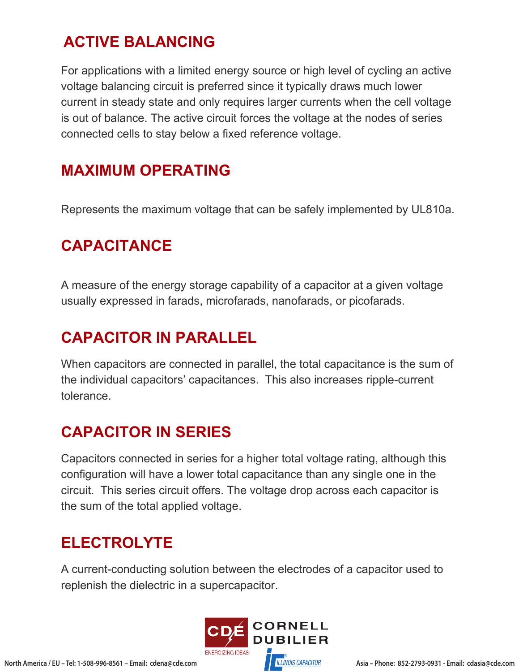#### **ACTIVE BALANCING**

For applications with a limited energy source or high level of cycling an active voltage balancing circuit is preferred since it typically draws much lower current in steady state and only requires larger currents when the cell voltage is out of balance. The active circuit forces the voltage at the nodes of series connected cells to stay below a fixed reference voltage.

#### **MAXIMUM OPERATING**

Represents the maximum voltage that can be safely implemented by UL810a.

#### **CAPACITANCE**

A measure of the energy storage capability of a capacitor at a given voltage usually expressed in farads, microfarads, nanofarads, or picofarads.

## **CAPACITOR IN PARALLEL**

When capacitors are connected in parallel, the total capacitance is the sum of the individual capacitors' capacitances. This also increases ripple-current tolerance.

#### **CAPACITOR IN SERIES**

Capacitors connected in series for a higher total voltage rating, although this configuration will have a lower total capacitance than any single one in the circuit. This series circuit offers. The voltage drop across each capacitor is the sum of the total applied voltage.

#### **ELECTROLYTE**

A current-conducting solution between the electrodes of a capacitor used to replenish the dielectric in a supercapacitor.

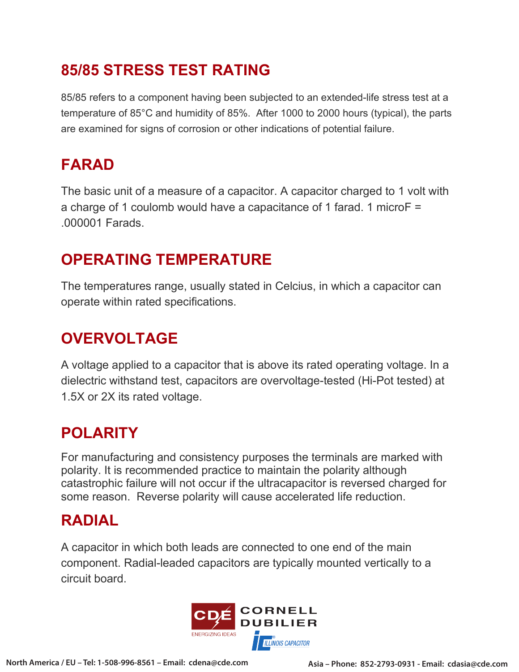#### **85/85 STRESS TEST RATING**

85/85 refers to a component having been subjected to an extended-life stress test at a temperature of 85°C and humidity of 85%. After 1000 to 2000 hours (typical), the parts are examined for signs of corrosion or other indications of potential failure.

#### **FARAD**

The basic unit of a measure of a capacitor. A capacitor charged to 1 volt with a charge of 1 coulomb would have a capacitance of 1 farad. 1 microF = .000001 Farads.

#### **OPERATING TEMPERATURE**

The temperatures range, usually stated in Celcius, in which a capacitor can operate within rated specifications.

# **OVERVOLTAGE**

A voltage applied to a capacitor that is above its rated operating voltage. In a dielectric withstand test, capacitors are overvoltage-tested (Hi-Pot tested) at 1.5X or 2X its rated voltage.

#### **POLARITY**

For manufacturing and consistency purposes the terminals are marked with polarity. It is recommended practice to maintain the polarity although catastrophic failure will not occur if the ultracapacitor is reversed charged for some reason. Reverse polarity will cause accelerated life reduction.

## **RADIAL**

A capacitor in which both leads are connected to one end of the main component. Radial-leaded capacitors are typically mounted vertically to a circuit board.